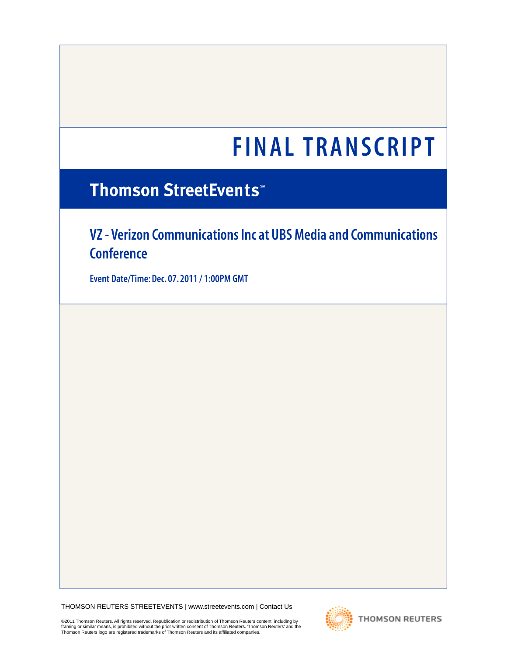# **FINAL TRANSCRIPT**

# **Thomson StreetEvents**

**VZ - Verizon Communications Inc at UBS Media and Communications Conference**

**Event Date/Time: Dec. 07. 2011 / 1:00PM GMT**

THOMSON REUTERS STREETEVENTS | [www.streetevents.com](http://www.streetevents.com) | [Contact Us](http://www010.streetevents.com/contact.asp)

©2011 Thomson Reuters. All rights reserved. Republication or redistribution of Thomson Reuters content, including by framing or similar means, is prohibited without the prior written consent of Thomson Reuters. 'Thomson Reuters' and the<br>Thomson Reuters logo are registered trademarks of Thomson Reuters and its affiliated companies.

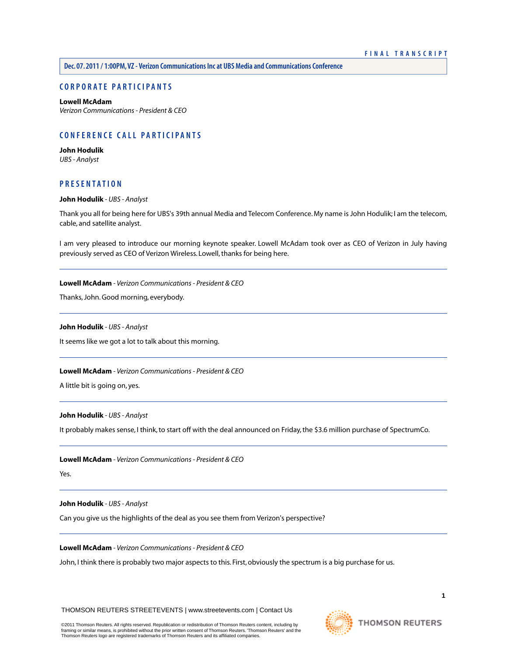# **C ORPORA TE P A R TICIP ANTS**

# **[Lowell McAdam](#page-1-0)**

*Verizon Communications - President & CEO*

# **C ONFERENCE C ALL P A R TICIP ANTS**

**[John Hodulik](#page-1-1)** *UBS - Analyst*

# <span id="page-1-1"></span>**PRESENT A TION**

#### **John Hodulik** *- UBS - Analyst*

Thank you all for being here for UBS's 39th annual Media and Telecom Conference. My name is John Hodulik; I am the telecom, cable, and satellite analyst.

<span id="page-1-0"></span>I am very pleased to introduce our morning keynote speaker. Lowell McAdam took over as CEO of Verizon in July having previously served as CEO of Verizon Wireless. Lowell, thanks for being here.

#### **Lowell McAdam** *- Verizon Communications - President & CEO*

Thanks, John. Good morning, everybody.

# **John Hodulik** *- UBS - Analyst*

It seems like we got a lot to talk about this morning.

**Lowell McAdam** *- Verizon Communications - President & CEO*

A little bit is going on, yes.

#### **John Hodulik** *- UBS - Analyst*

It probably makes sense, I think, to start off with the deal announced on Friday, the \$3.6 million purchase of SpectrumCo.

**Lowell McAdam** *- Verizon Communications - President & CEO*

Yes.

#### **John Hodulik** *- UBS - Analyst*

Can you give us the highlights of the deal as you see them from Verizon's perspective?

# **Lowell McAdam** *- Verizon Communications - President & CEO*

John, I think there is probably two major aspects to this. First, obviously the spectrum is a big purchase for us.

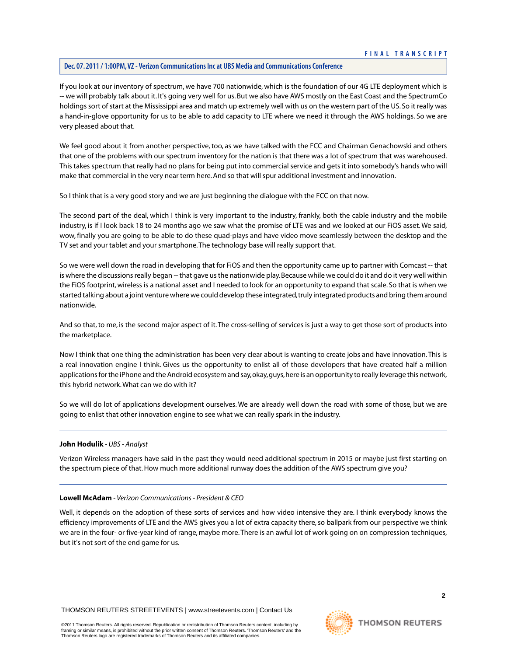If you look at our inventory of spectrum, we have 700 nationwide, which is the foundation of our 4G LTE deployment which is -- we will probably talk about it. It's going very well for us. But we also have AWS mostly on the East Coast and the SpectrumCo holdings sort of start at the Mississippi area and match up extremely well with us on the western part of the US. So it really was a hand-in-glove opportunity for us to be able to add capacity to LTE where we need it through the AWS holdings. So we are very pleased about that.

We feel good about it from another perspective, too, as we have talked with the FCC and Chairman Genachowski and others that one of the problems with our spectrum inventory for the nation is that there was a lot of spectrum that was warehoused. This takes spectrum that really had no plans for being put into commercial service and gets it into somebody's hands who will make that commercial in the very near term here. And so that will spur additional investment and innovation.

So I think that is a very good story and we are just beginning the dialogue with the FCC on that now.

The second part of the deal, which I think is very important to the industry, frankly, both the cable industry and the mobile industry, is if I look back 18 to 24 months ago we saw what the promise of LTE was and we looked at our FiOS asset. We said, wow, finally you are going to be able to do these quad-plays and have video move seamlessly between the desktop and the TV set and your tablet and your smartphone.The technology base will really support that.

So we were well down the road in developing that for FiOS and then the opportunity came up to partner with Comcast -- that is where the discussions really began -- that gave us the nationwide play. Because while we could do it and do it very well within the FiOS footprint, wireless is a national asset and I needed to look for an opportunity to expand that scale. So that is when we started talking about a joint venture where we could develop these integrated, truly integrated products and bring them around nationwide.

And so that, to me, is the second major aspect of it.The cross-selling of services is just a way to get those sort of products into the marketplace.

Now I think that one thing the administration has been very clear about is wanting to create jobs and have innovation.This is a real innovation engine I think. Gives us the opportunity to enlist all of those developers that have created half a million applications for the iPhone and the Android ecosystem and say, okay, guys, here is an opportunity to really leverage this network, this hybrid network.What can we do with it?

So we will do lot of applications development ourselves. We are already well down the road with some of those, but we are going to enlist that other innovation engine to see what we can really spark in the industry.

#### **John Hodulik** *- UBS - Analyst*

Verizon Wireless managers have said in the past they would need additional spectrum in 2015 or maybe just first starting on the spectrum piece of that. How much more additional runway does the addition of the AWS spectrum give you?

#### **Lowell McAdam** *- Verizon Communications - President & CEO*

Well, it depends on the adoption of these sorts of services and how video intensive they are. I think everybody knows the efficiency improvements of LTE and the AWS gives you a lot of extra capacity there, so ballpark from our perspective we think we are in the four- or five-year kind of range, maybe more.There is an awful lot of work going on on compression techniques, but it's not sort of the end game for us.

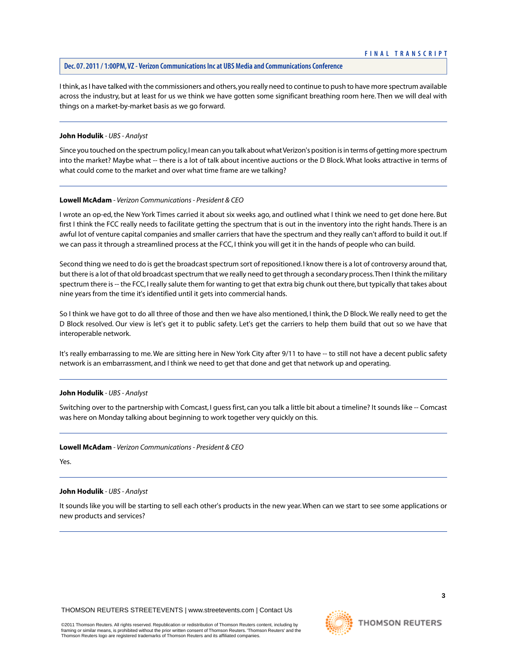I think, as I have talked with the commissioners and others, you really need to continue to push to have more spectrum available across the industry, but at least for us we think we have gotten some significant breathing room here. Then we will deal with things on a market-by-market basis as we go forward.

# **John Hodulik** *- UBS - Analyst*

Since you touched on the spectrum policy, I mean can you talk about what Verizon's position is in terms of getting more spectrum into the market? Maybe what -- there is a lot of talk about incentive auctions or the D Block. What looks attractive in terms of what could come to the market and over what time frame are we talking?

# **Lowell McAdam** *- Verizon Communications - President & CEO*

I wrote an op-ed, the New York Times carried it about six weeks ago, and outlined what I think we need to get done here. But first I think the FCC really needs to facilitate getting the spectrum that is out in the inventory into the right hands. There is an awful lot of venture capital companies and smaller carriers that have the spectrum and they really can't afford to build it out. If we can pass it through a streamlined process at the FCC, I think you will get it in the hands of people who can build.

Second thing we need to do is get the broadcast spectrum sort of repositioned. I know there is a lot of controversy around that, but there is a lot of that old broadcast spectrum that we really need to get through a secondary process.Then I think the military spectrum there is -- the FCC, I really salute them for wanting to get that extra big chunk out there, but typically that takes about nine years from the time it's identified until it gets into commercial hands.

So I think we have got to do all three of those and then we have also mentioned, I think, the D Block.We really need to get the D Block resolved. Our view is let's get it to public safety. Let's get the carriers to help them build that out so we have that interoperable network.

It's really embarrassing to me.We are sitting here in New York City after 9/11 to have -- to still not have a decent public safety network is an embarrassment, and I think we need to get that done and get that network up and operating.

#### **John Hodulik** *- UBS - Analyst*

Switching over to the partnership with Comcast, I guess first, can you talk a little bit about a timeline? It sounds like -- Comcast was here on Monday talking about beginning to work together very quickly on this.

#### **Lowell McAdam** *- Verizon Communications - President & CEO*

Yes.

#### **John Hodulik** *- UBS - Analyst*

It sounds like you will be starting to sell each other's products in the new year.When can we start to see some applications or new products and services?

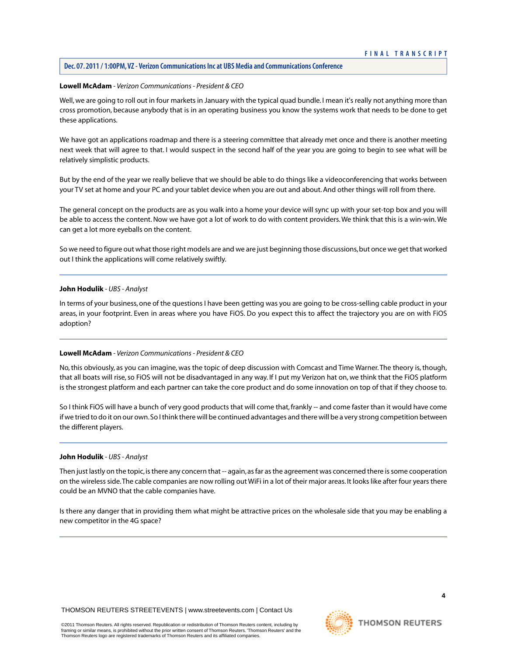# **FINAL TRANSCRIPT**

# **Dec. 07. 2011 / 1:00PM,VZ - Verizon Communications Inc at UBS Media and Communications Conference**

#### **Lowell McAdam** *- Verizon Communications - President & CEO*

Well, we are going to roll out in four markets in January with the typical quad bundle. I mean it's really not anything more than cross promotion, because anybody that is in an operating business you know the systems work that needs to be done to get these applications.

We have got an applications roadmap and there is a steering committee that already met once and there is another meeting next week that will agree to that. I would suspect in the second half of the year you are going to begin to see what will be relatively simplistic products.

But by the end of the year we really believe that we should be able to do things like a videoconferencing that works between your TV set at home and your PC and your tablet device when you are out and about. And other things will roll from there.

The general concept on the products are as you walk into a home your device will sync up with your set-top box and you will be able to access the content. Now we have got a lot of work to do with content providers.We think that this is a win-win.We can get a lot more eyeballs on the content.

So we need to figure out what those right models are and we are just beginning those discussions, but once we get that worked out I think the applications will come relatively swiftly.

#### **John Hodulik** *- UBS - Analyst*

In terms of your business, one of the questions I have been getting was you are going to be cross-selling cable product in your areas, in your footprint. Even in areas where you have FiOS. Do you expect this to affect the trajectory you are on with FiOS adoption?

#### **Lowell McAdam** *- Verizon Communications - President & CEO*

No, this obviously, as you can imagine, was the topic of deep discussion with Comcast and Time Warner.The theory is, though, that all boats will rise, so FiOS will not be disadvantaged in any way. If I put my Verizon hat on, we think that the FiOS platform is the strongest platform and each partner can take the core product and do some innovation on top of that if they choose to.

So I think FiOS will have a bunch of very good products that will come that, frankly -- and come faster than it would have come if we tried to do it on our own. So I think there will be continued advantages and there will be a very strong competition between the different players.

#### **John Hodulik** *- UBS - Analyst*

Then just lastly on the topic, is there any concern that -- again, as far as the agreement was concerned there is some cooperation on the wireless side.The cable companies are now rolling out WiFi in a lot of their major areas. It looks like after four years there could be an MVNO that the cable companies have.

Is there any danger that in providing them what might be attractive prices on the wholesale side that you may be enabling a new competitor in the 4G space?

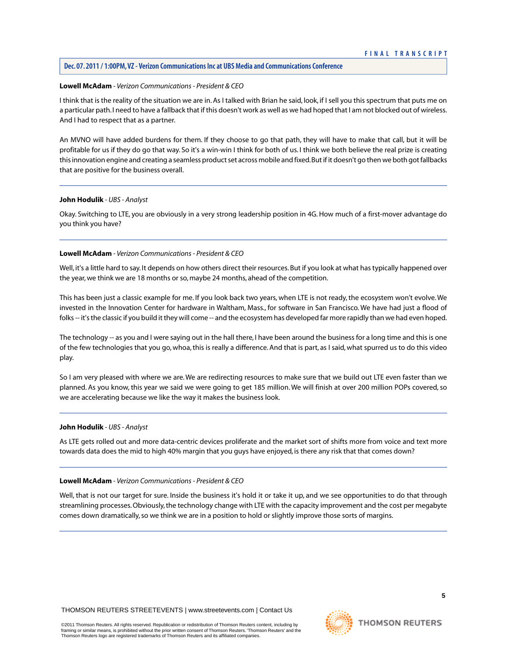#### **Lowell McAdam** *- Verizon Communications - President & CEO*

I think that is the reality of the situation we are in. As I talked with Brian he said, look, if I sell you this spectrum that puts me on a particular path. I need to have a fallback that if this doesn't work as well as we had hoped that I am not blocked out of wireless. And I had to respect that as a partner.

An MVNO will have added burdens for them. If they choose to go that path, they will have to make that call, but it will be profitable for us if they do go that way. So it's a win-win I think for both of us. I think we both believe the real prize is creating this innovation engine and creating a seamless product set across mobile and fixed. But if it doesn't go then we both got fallbacks that are positive for the business overall.

#### **John Hodulik** *- UBS - Analyst*

Okay. Switching to LTE, you are obviously in a very strong leadership position in 4G. How much of a first-mover advantage do you think you have?

#### **Lowell McAdam** *- Verizon Communications - President & CEO*

Well, it's a little hard to say. It depends on how others direct their resources. But if you look at what has typically happened over the year, we think we are 18 months or so, maybe 24 months, ahead of the competition.

This has been just a classic example for me. If you look back two years, when LTE is not ready, the ecosystem won't evolve.We invested in the Innovation Center for hardware in Waltham, Mass., for software in San Francisco. We have had just a flood of folks -- it's the classic if you build it they will come -- and the ecosystem has developed far more rapidly than we had even hoped.

The technology -- as you and I were saying out in the hall there, I have been around the business for a long time and this is one of the few technologies that you go, whoa, this is really a difference. And that is part, as I said, what spurred us to do this video play.

So I am very pleased with where we are.We are redirecting resources to make sure that we build out LTE even faster than we planned. As you know, this year we said we were going to get 185 million. We will finish at over 200 million POPs covered, so we are accelerating because we like the way it makes the business look.

#### **John Hodulik** *- UBS - Analyst*

As LTE gets rolled out and more data-centric devices proliferate and the market sort of shifts more from voice and text more towards data does the mid to high 40% margin that you guys have enjoyed, is there any risk that that comes down?

#### **Lowell McAdam** *- Verizon Communications - President & CEO*

Well, that is not our target for sure. Inside the business it's hold it or take it up, and we see opportunities to do that through streamlining processes. Obviously, the technology change with LTE with the capacity improvement and the cost per megabyte comes down dramatically, so we think we are in a position to hold or slightly improve those sorts of margins.

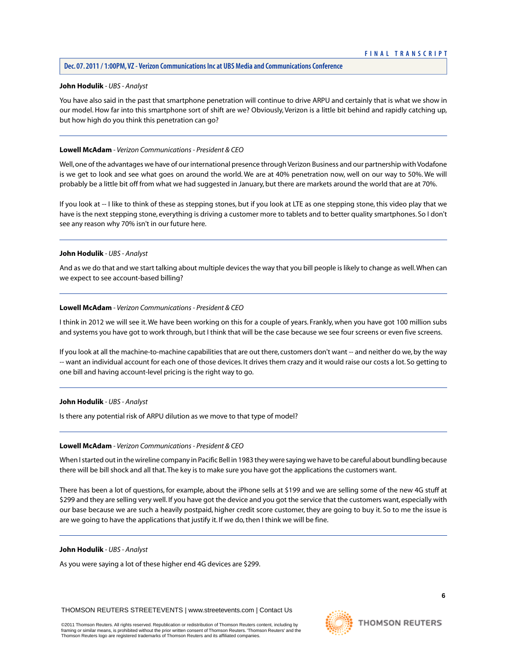#### **John Hodulik** *- UBS - Analyst*

You have also said in the past that smartphone penetration will continue to drive ARPU and certainly that is what we show in our model. How far into this smartphone sort of shift are we? Obviously, Verizon is a little bit behind and rapidly catching up, but how high do you think this penetration can go?

#### **Lowell McAdam** *- Verizon Communications - President & CEO*

Well, one of the advantages we have of our international presence through Verizon Business and our partnership with Vodafone is we get to look and see what goes on around the world. We are at 40% penetration now, well on our way to 50%. We will probably be a little bit off from what we had suggested in January, but there are markets around the world that are at 70%.

If you look at -- I like to think of these as stepping stones, but if you look at LTE as one stepping stone, this video play that we have is the next stepping stone, everything is driving a customer more to tablets and to better quality smartphones. So I don't see any reason why 70% isn't in our future here.

# **John Hodulik** *- UBS - Analyst*

And as we do that and we start talking about multiple devices the way that you bill people is likely to change as well.When can we expect to see account-based billing?

# **Lowell McAdam** *- Verizon Communications - President & CEO*

I think in 2012 we will see it.We have been working on this for a couple of years. Frankly, when you have got 100 million subs and systems you have got to work through, but I think that will be the case because we see four screens or even five screens.

If you look at all the machine-to-machine capabilities that are out there, customers don't want -- and neither do we, by the way -- want an individual account for each one of those devices. It drives them crazy and it would raise our costs a lot. So getting to one bill and having account-level pricing is the right way to go.

#### **John Hodulik** *- UBS - Analyst*

Is there any potential risk of ARPU dilution as we move to that type of model?

#### **Lowell McAdam** *- Verizon Communications - President & CEO*

When I started out in the wireline company in Pacific Bell in 1983 they were saying we have to be careful about bundling because there will be bill shock and all that.The key is to make sure you have got the applications the customers want.

There has been a lot of questions, for example, about the iPhone sells at \$199 and we are selling some of the new 4G stuff at \$299 and they are selling very well. If you have got the device and you got the service that the customers want, especially with our base because we are such a heavily postpaid, higher credit score customer, they are going to buy it. So to me the issue is are we going to have the applications that justify it. If we do, then I think we will be fine.

#### **John Hodulik** *- UBS - Analyst*

As you were saying a lot of these higher end 4G devices are \$299.

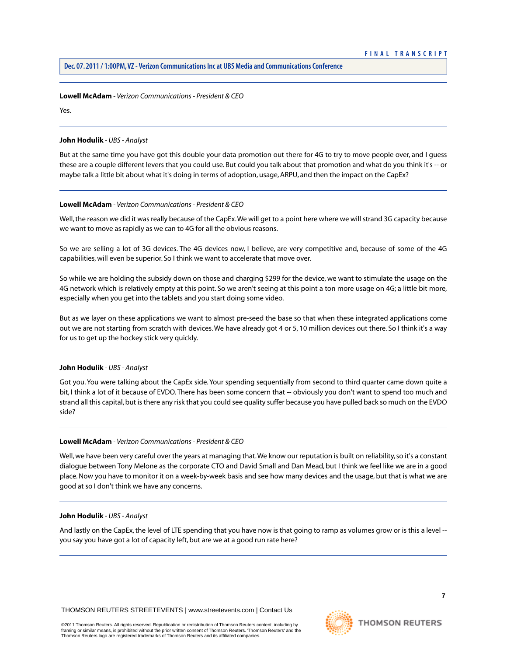#### **Lowell McAdam** *- Verizon Communications - President & CEO*

Yes.

#### **John Hodulik** *- UBS - Analyst*

But at the same time you have got this double your data promotion out there for 4G to try to move people over, and I guess these are a couple different levers that you could use. But could you talk about that promotion and what do you think it's -- or maybe talk a little bit about what it's doing in terms of adoption, usage, ARPU, and then the impact on the CapEx?

# **Lowell McAdam** *- Verizon Communications - President & CEO*

Well, the reason we did it was really because of the CapEx.We will get to a point here where we will strand 3G capacity because we want to move as rapidly as we can to 4G for all the obvious reasons.

So we are selling a lot of 3G devices. The 4G devices now, I believe, are very competitive and, because of some of the 4G capabilities, will even be superior. So I think we want to accelerate that move over.

So while we are holding the subsidy down on those and charging \$299 for the device, we want to stimulate the usage on the 4G network which is relatively empty at this point. So we aren't seeing at this point a ton more usage on 4G; a little bit more, especially when you get into the tablets and you start doing some video.

But as we layer on these applications we want to almost pre-seed the base so that when these integrated applications come out we are not starting from scratch with devices.We have already got 4 or 5, 10 million devices out there. So I think it's a way for us to get up the hockey stick very quickly.

# **John Hodulik** *- UBS - Analyst*

Got you. You were talking about the CapEx side. Your spending sequentially from second to third quarter came down quite a bit, I think a lot of it because of EVDO.There has been some concern that -- obviously you don't want to spend too much and strand all this capital, but is there any risk that you could see quality suffer because you have pulled back so much on the EVDO side?

#### **Lowell McAdam** *- Verizon Communications - President & CEO*

Well, we have been very careful over the years at managing that.We know our reputation is built on reliability, so it's a constant dialogue between Tony Melone as the corporate CTO and David Small and Dan Mead, but I think we feel like we are in a good place. Now you have to monitor it on a week-by-week basis and see how many devices and the usage, but that is what we are good at so I don't think we have any concerns.

#### **John Hodulik** *- UBS - Analyst*

And lastly on the CapEx, the level of LTE spending that you have now is that going to ramp as volumes grow or is this a level - you say you have got a lot of capacity left, but are we at a good run rate here?

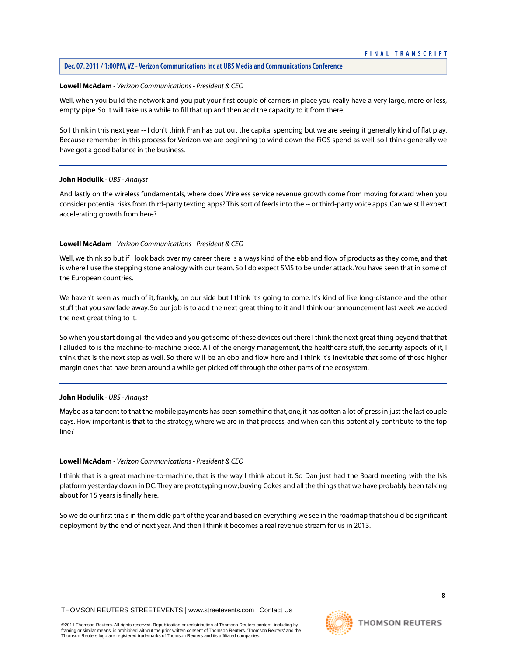#### **Lowell McAdam** *- Verizon Communications - President & CEO*

Well, when you build the network and you put your first couple of carriers in place you really have a very large, more or less, empty pipe. So it will take us a while to fill that up and then add the capacity to it from there.

So I think in this next year -- I don't think Fran has put out the capital spending but we are seeing it generally kind of flat play. Because remember in this process for Verizon we are beginning to wind down the FiOS spend as well, so I think generally we have got a good balance in the business.

#### **John Hodulik** *- UBS - Analyst*

And lastly on the wireless fundamentals, where does Wireless service revenue growth come from moving forward when you consider potential risks from third-party texting apps? This sort of feeds into the -- or third-party voice apps. Can we still expect accelerating growth from here?

# **Lowell McAdam** *- Verizon Communications - President & CEO*

Well, we think so but if I look back over my career there is always kind of the ebb and flow of products as they come, and that is where I use the stepping stone analogy with our team. So I do expect SMS to be under attack. You have seen that in some of the European countries.

We haven't seen as much of it, frankly, on our side but I think it's going to come. It's kind of like long-distance and the other stuff that you saw fade away. So our job is to add the next great thing to it and I think our announcement last week we added the next great thing to it.

So when you start doing all the video and you get some of these devices out there I think the next great thing beyond that that I alluded to is the machine-to-machine piece. All of the energy management, the healthcare stuff, the security aspects of it, I think that is the next step as well. So there will be an ebb and flow here and I think it's inevitable that some of those higher margin ones that have been around a while get picked off through the other parts of the ecosystem.

#### **John Hodulik** *- UBS - Analyst*

Maybe as a tangent to that the mobile payments has been something that, one, it has gotten a lot of press in just the last couple days. How important is that to the strategy, where we are in that process, and when can this potentially contribute to the top line?

#### **Lowell McAdam** *- Verizon Communications - President & CEO*

I think that is a great machine-to-machine, that is the way I think about it. So Dan just had the Board meeting with the Isis platform yesterday down in DC.They are prototyping now; buying Cokes and all the things that we have probably been talking about for 15 years is finally here.

So we do our first trials in the middle part of the year and based on everything we see in the roadmap that should be significant deployment by the end of next year. And then I think it becomes a real revenue stream for us in 2013.

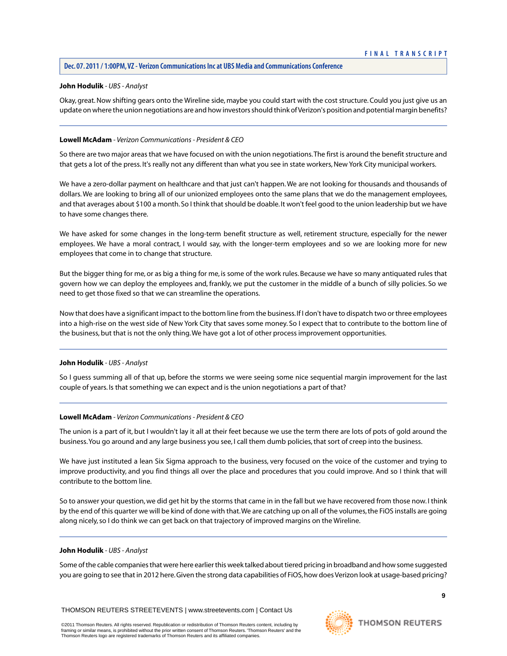# **John Hodulik** *- UBS - Analyst*

Okay, great. Now shifting gears onto the Wireline side, maybe you could start with the cost structure. Could you just give us an update on where the union negotiations are and how investors should think of Verizon's position and potential margin benefits?

# **Lowell McAdam** *- Verizon Communications - President & CEO*

So there are two major areas that we have focused on with the union negotiations.The first is around the benefit structure and that gets a lot of the press. It's really not any different than what you see in state workers, New York City municipal workers.

We have a zero-dollar payment on healthcare and that just can't happen.We are not looking for thousands and thousands of dollars.We are looking to bring all of our unionized employees onto the same plans that we do the management employees, and that averages about \$100 a month. So I think that should be doable. It won't feel good to the union leadership but we have to have some changes there.

We have asked for some changes in the long-term benefit structure as well, retirement structure, especially for the newer employees. We have a moral contract, I would say, with the longer-term employees and so we are looking more for new employees that come in to change that structure.

But the bigger thing for me, or as big a thing for me, is some of the work rules. Because we have so many antiquated rules that govern how we can deploy the employees and, frankly, we put the customer in the middle of a bunch of silly policies. So we need to get those fixed so that we can streamline the operations.

Now that does have a significant impact to the bottom line from the business. If I don't have to dispatch two or three employees into a high-rise on the west side of New York City that saves some money. So I expect that to contribute to the bottom line of the business, but that is not the only thing.We have got a lot of other process improvement opportunities.

#### **John Hodulik** *- UBS - Analyst*

So I guess summing all of that up, before the storms we were seeing some nice sequential margin improvement for the last couple of years. Is that something we can expect and is the union negotiations a part of that?

#### **Lowell McAdam** *- Verizon Communications - President & CEO*

The union is a part of it, but I wouldn't lay it all at their feet because we use the term there are lots of pots of gold around the business.You go around and any large business you see, I call them dumb policies, that sort of creep into the business.

We have just instituted a lean Six Sigma approach to the business, very focused on the voice of the customer and trying to improve productivity, and you find things all over the place and procedures that you could improve. And so I think that will contribute to the bottom line.

So to answer your question, we did get hit by the storms that came in in the fall but we have recovered from those now. I think by the end of this quarter we will be kind of done with that.We are catching up on all of the volumes, the FiOS installs are going along nicely, so I do think we can get back on that trajectory of improved margins on the Wireline.

#### **John Hodulik** *- UBS - Analyst*

Some of the cable companies that were here earlier this week talked about tiered pricing in broadband and how some suggested you are going to see that in 2012 here. Given the strong data capabilities of FiOS, how does Verizon look at usage-based pricing?

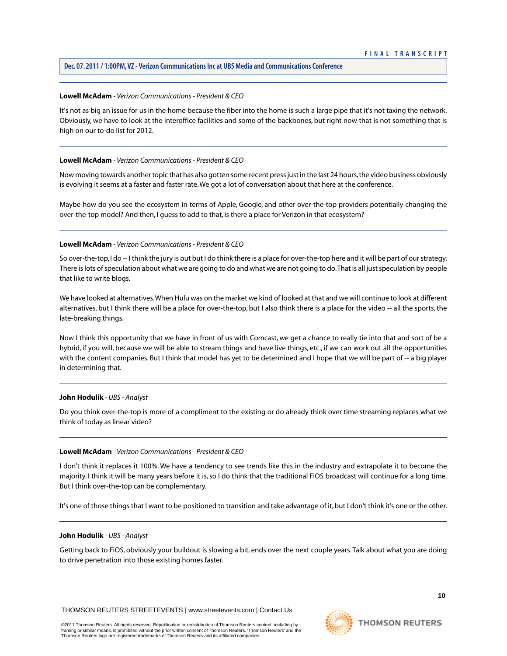#### **Lowell McAdam** *- Verizon Communications - President & CEO*

It's not as big an issue for us in the home because the fiber into the home is such a large pipe that it's not taxing the network. Obviously, we have to look at the interoffice facilities and some of the backbones, but right now that is not something that is high on our to-do list for 2012.

#### **Lowell McAdam** *- Verizon Communications - President & CEO*

Now moving towards another topic that has also gotten some recent press just in the last 24 hours, the video business obviously is evolving it seems at a faster and faster rate.We got a lot of conversation about that here at the conference.

Maybe how do you see the ecosystem in terms of Apple, Google, and other over-the-top providers potentially changing the over-the-top model? And then, I guess to add to that, is there a place for Verizon in that ecosystem?

# **Lowell McAdam** *- Verizon Communications - President & CEO*

So over-the-top, I do -- I think the jury is out but I do think there is a place for over-the-top here and it will be part of our strategy. There is lots of speculation about what we are going to do and what we are not going to do.That is all just speculation by people that like to write blogs.

We have looked at alternatives.When Hulu was on the market we kind of looked at that and we will continue to look at different alternatives, but I think there will be a place for over-the-top, but I also think there is a place for the video -- all the sports, the late-breaking things.

Now I think this opportunity that we have in front of us with Comcast, we get a chance to really tie into that and sort of be a hybrid, if you will, because we will be able to stream things and have live things, etc., if we can work out all the opportunities with the content companies. But I think that model has yet to be determined and I hope that we will be part of -- a big player in determining that.

#### **John Hodulik** *- UBS - Analyst*

Do you think over-the-top is more of a compliment to the existing or do already think over time streaming replaces what we think of today as linear video?

#### **Lowell McAdam** *- Verizon Communications - President & CEO*

I don't think it replaces it 100%. We have a tendency to see trends like this in the industry and extrapolate it to become the majority. I think it will be many years before it is, so I do think that the traditional FiOS broadcast will continue for a long time. But I think over-the-top can be complementary.

It's one of those things that I want to be positioned to transition and take advantage of it, but I don't think it's one or the other.

#### **John Hodulik** *- UBS - Analyst*

Getting back to FiOS, obviously your buildout is slowing a bit, ends over the next couple years.Talk about what you are doing to drive penetration into those existing homes faster.

**THOMSON REUTERS**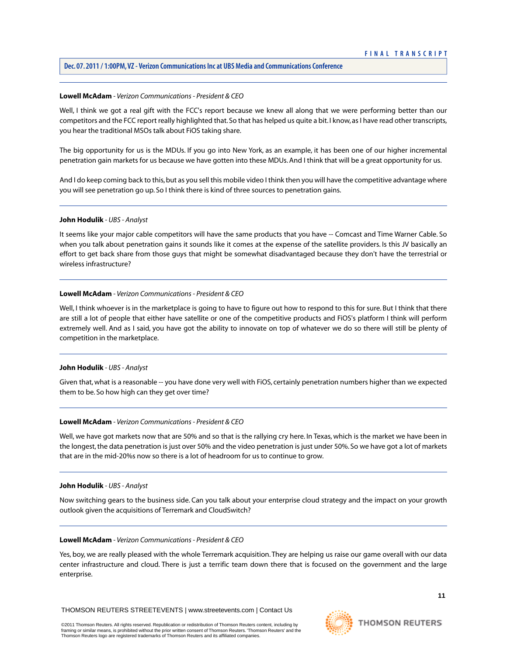#### **Lowell McAdam** *- Verizon Communications - President & CEO*

Well, I think we got a real gift with the FCC's report because we knew all along that we were performing better than our competitors and the FCC report really highlighted that. So that has helped us quite a bit. I know, as I have read other transcripts, you hear the traditional MSOs talk about FiOS taking share.

The big opportunity for us is the MDUs. If you go into New York, as an example, it has been one of our higher incremental penetration gain markets for us because we have gotten into these MDUs. And I think that will be a great opportunity for us.

And I do keep coming back to this, but as you sell this mobile video I think then you will have the competitive advantage where you will see penetration go up. So I think there is kind of three sources to penetration gains.

#### **John Hodulik** *- UBS - Analyst*

It seems like your major cable competitors will have the same products that you have -- Comcast and Time Warner Cable. So when you talk about penetration gains it sounds like it comes at the expense of the satellite providers. Is this JV basically an effort to get back share from those guys that might be somewhat disadvantaged because they don't have the terrestrial or wireless infrastructure?

#### **Lowell McAdam** *- Verizon Communications - President & CEO*

Well, I think whoever is in the marketplace is going to have to figure out how to respond to this for sure. But I think that there are still a lot of people that either have satellite or one of the competitive products and FiOS's platform I think will perform extremely well. And as I said, you have got the ability to innovate on top of whatever we do so there will still be plenty of competition in the marketplace.

#### **John Hodulik** *- UBS - Analyst*

Given that, what is a reasonable -- you have done very well with FiOS, certainly penetration numbers higher than we expected them to be. So how high can they get over time?

#### **Lowell McAdam** *- Verizon Communications - President & CEO*

Well, we have got markets now that are 50% and so that is the rallying cry here. In Texas, which is the market we have been in the longest, the data penetration is just over 50% and the video penetration is just under 50%. So we have got a lot of markets that are in the mid-20%s now so there is a lot of headroom for us to continue to grow.

#### **John Hodulik** *- UBS - Analyst*

Now switching gears to the business side. Can you talk about your enterprise cloud strategy and the impact on your growth outlook given the acquisitions of Terremark and CloudSwitch?

#### **Lowell McAdam** *- Verizon Communications - President & CEO*

Yes, boy, we are really pleased with the whole Terremark acquisition. They are helping us raise our game overall with our data center infrastructure and cloud. There is just a terrific team down there that is focused on the government and the large enterprise.

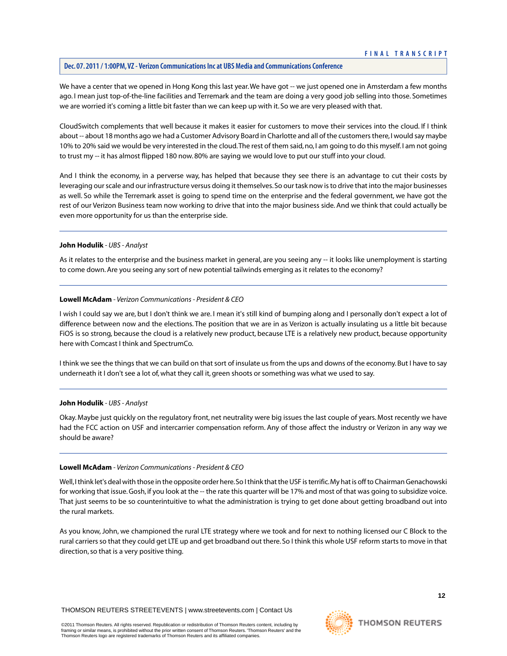We have a center that we opened in Hong Kong this last year. We have got -- we just opened one in Amsterdam a few months ago. I mean just top-of-the-line facilities and Terremark and the team are doing a very good job selling into those. Sometimes we are worried it's coming a little bit faster than we can keep up with it. So we are very pleased with that.

CloudSwitch complements that well because it makes it easier for customers to move their services into the cloud. If I think about -- about 18 months ago we had a Customer Advisory Board in Charlotte and all of the customers there, I would say maybe 10% to 20% said we would be very interested in the cloud.The rest of them said, no, I am going to do this myself. I am not going to trust my -- it has almost flipped 180 now. 80% are saying we would love to put our stuff into your cloud.

And I think the economy, in a perverse way, has helped that because they see there is an advantage to cut their costs by leveraging our scale and our infrastructure versus doing it themselves. So our task now is to drive that into the major businesses as well. So while the Terremark asset is going to spend time on the enterprise and the federal government, we have got the rest of our Verizon Business team now working to drive that into the major business side. And we think that could actually be even more opportunity for us than the enterprise side.

#### **John Hodulik** *- UBS - Analyst*

As it relates to the enterprise and the business market in general, are you seeing any -- it looks like unemployment is starting to come down. Are you seeing any sort of new potential tailwinds emerging as it relates to the economy?

#### **Lowell McAdam** *- Verizon Communications - President & CEO*

I wish I could say we are, but I don't think we are. I mean it's still kind of bumping along and I personally don't expect a lot of difference between now and the elections. The position that we are in as Verizon is actually insulating us a little bit because FiOS is so strong, because the cloud is a relatively new product, because LTE is a relatively new product, because opportunity here with Comcast I think and SpectrumCo.

I think we see the things that we can build on that sort of insulate us from the ups and downs of the economy. But I have to say underneath it I don't see a lot of, what they call it, green shoots or something was what we used to say.

#### **John Hodulik** *- UBS - Analyst*

Okay. Maybe just quickly on the regulatory front, net neutrality were big issues the last couple of years. Most recently we have had the FCC action on USF and intercarrier compensation reform. Any of those affect the industry or Verizon in any way we should be aware?

#### **Lowell McAdam** *- Verizon Communications - President & CEO*

Well, I think let's deal with those in the opposite order here. So I think that the USF is terrific. My hat is off to Chairman Genachowski for working that issue. Gosh, if you look at the -- the rate this quarter will be 17% and most of that was going to subsidize voice. That just seems to be so counterintuitive to what the administration is trying to get done about getting broadband out into the rural markets.

As you know, John, we championed the rural LTE strategy where we took and for next to nothing licensed our C Block to the rural carriers so that they could get LTE up and get broadband out there. So I think this whole USF reform starts to move in that direction, so that is a very positive thing.

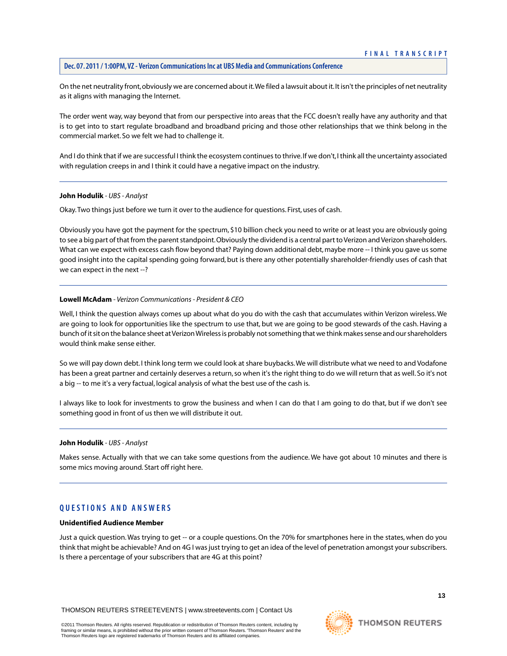On the net neutrality front, obviously we are concerned about it.We filed a lawsuit about it. It isn't the principles of net neutrality as it aligns with managing the Internet.

The order went way, way beyond that from our perspective into areas that the FCC doesn't really have any authority and that is to get into to start regulate broadband and broadband pricing and those other relationships that we think belong in the commercial market. So we felt we had to challenge it.

And I do think that if we are successful I think the ecosystem continues to thrive. If we don't, I think all the uncertainty associated with regulation creeps in and I think it could have a negative impact on the industry.

#### **John Hodulik** *- UBS - Analyst*

Okay.Two things just before we turn it over to the audience for questions. First, uses of cash.

Obviously you have got the payment for the spectrum, \$10 billion check you need to write or at least you are obviously going to see a big part of that from the parent standpoint. Obviously the dividend is a central part to Verizon and Verizon shareholders. What can we expect with excess cash flow beyond that? Paying down additional debt, maybe more -- I think you gave us some good insight into the capital spending going forward, but is there any other potentially shareholder-friendly uses of cash that we can expect in the next --?

#### **Lowell McAdam** *- Verizon Communications - President & CEO*

Well, I think the question always comes up about what do you do with the cash that accumulates within Verizon wireless. We are going to look for opportunities like the spectrum to use that, but we are going to be good stewards of the cash. Having a bunch of it sit on the balance sheet at Verizon Wireless is probably not something that we think makes sense and our shareholders would think make sense either.

So we will pay down debt. I think long term we could look at share buybacks.We will distribute what we need to and Vodafone has been a great partner and certainly deserves a return, so when it's the right thing to do we will return that as well. So it's not a big -- to me it's a very factual, logical analysis of what the best use of the cash is.

I always like to look for investments to grow the business and when I can do that I am going to do that, but if we don't see something good in front of us then we will distribute it out.

#### **John Hodulik** *- UBS - Analyst*

Makes sense. Actually with that we can take some questions from the audience. We have got about 10 minutes and there is some mics moving around. Start off right here.

# **QUESTIONS AND ANSWERS**

#### **Unidentified Audience Member**

Just a quick question. Was trying to get -- or a couple questions. On the 70% for smartphones here in the states, when do you think that might be achievable? And on 4G I was just trying to get an idea of the level of penetration amongst your subscribers. Is there a percentage of your subscribers that are 4G at this point?

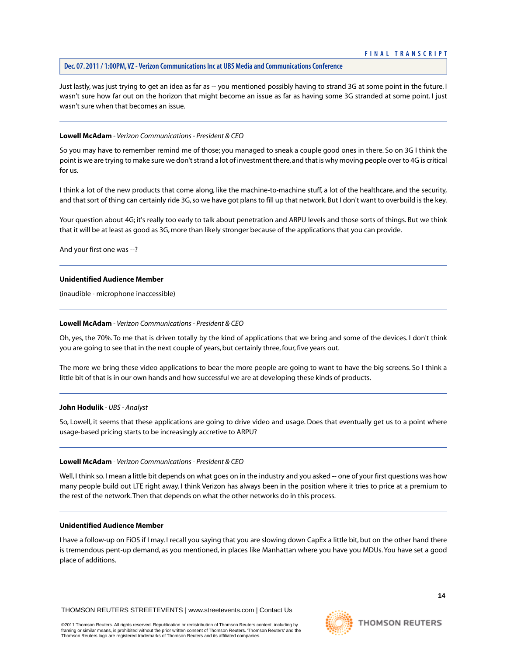Just lastly, was just trying to get an idea as far as -- you mentioned possibly having to strand 3G at some point in the future. I wasn't sure how far out on the horizon that might become an issue as far as having some 3G stranded at some point. I just wasn't sure when that becomes an issue.

#### **Lowell McAdam** *- Verizon Communications - President & CEO*

So you may have to remember remind me of those; you managed to sneak a couple good ones in there. So on 3G I think the point is we are trying to make sure we don't strand a lot of investment there, and that is why moving people over to 4G is critical for us.

I think a lot of the new products that come along, like the machine-to-machine stuff, a lot of the healthcare, and the security, and that sort of thing can certainly ride 3G, so we have got plans to fill up that network. But I don't want to overbuild is the key.

Your question about 4G; it's really too early to talk about penetration and ARPU levels and those sorts of things. But we think that it will be at least as good as 3G, more than likely stronger because of the applications that you can provide.

And your first one was --?

# **Unidentified Audience Member**

(inaudible - microphone inaccessible)

#### **Lowell McAdam** *- Verizon Communications - President & CEO*

Oh, yes, the 70%. To me that is driven totally by the kind of applications that we bring and some of the devices. I don't think you are going to see that in the next couple of years, but certainly three, four, five years out.

The more we bring these video applications to bear the more people are going to want to have the big screens. So I think a little bit of that is in our own hands and how successful we are at developing these kinds of products.

#### **John Hodulik** *- UBS - Analyst*

So, Lowell, it seems that these applications are going to drive video and usage. Does that eventually get us to a point where usage-based pricing starts to be increasingly accretive to ARPU?

#### **Lowell McAdam** *- Verizon Communications - President & CEO*

Well, I think so. I mean a little bit depends on what goes on in the industry and you asked -- one of your first questions was how many people build out LTE right away. I think Verizon has always been in the position where it tries to price at a premium to the rest of the network.Then that depends on what the other networks do in this process.

#### **Unidentified Audience Member**

I have a follow-up on FiOS if I may. I recall you saying that you are slowing down CapEx a little bit, but on the other hand there is tremendous pent-up demand, as you mentioned, in places like Manhattan where you have you MDUs.You have set a good place of additions.

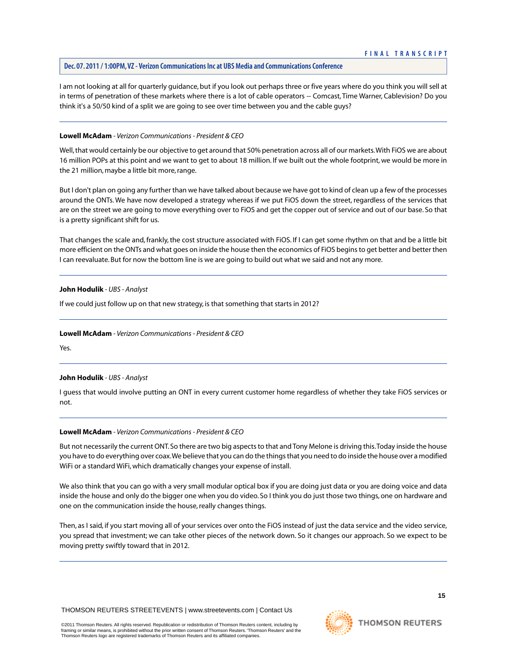I am not looking at all for quarterly guidance, but if you look out perhaps three or five years where do you think you will sell at in terms of penetration of these markets where there is a lot of cable operators -- Comcast, Time Warner, Cablevision? Do you think it's a 50/50 kind of a split we are going to see over time between you and the cable guys?

# **Lowell McAdam** *- Verizon Communications - President & CEO*

Well, that would certainly be our objective to get around that 50% penetration across all of our markets.With FiOS we are about 16 million POPs at this point and we want to get to about 18 million. If we built out the whole footprint, we would be more in the 21 million, maybe a little bit more, range.

But I don't plan on going any further than we have talked about because we have got to kind of clean up a few of the processes around the ONTs. We have now developed a strategy whereas if we put FiOS down the street, regardless of the services that are on the street we are going to move everything over to FiOS and get the copper out of service and out of our base. So that is a pretty significant shift for us.

That changes the scale and, frankly, the cost structure associated with FiOS. If I can get some rhythm on that and be a little bit more efficient on the ONTs and what goes on inside the house then the economics of FiOS begins to get better and better then I can reevaluate. But for now the bottom line is we are going to build out what we said and not any more.

# **John Hodulik** *- UBS - Analyst*

If we could just follow up on that new strategy, is that something that starts in 2012?

#### **Lowell McAdam** *- Verizon Communications - President & CEO*

Yes.

# **John Hodulik** *- UBS - Analyst*

I guess that would involve putting an ONT in every current customer home regardless of whether they take FiOS services or not.

#### **Lowell McAdam** *- Verizon Communications - President & CEO*

But not necessarily the current ONT. So there are two big aspects to that and Tony Melone is driving this.Today inside the house you have to do everything over coax.We believe that you can do the things that you need to do inside the house over a modified WiFi or a standard WiFi, which dramatically changes your expense of install.

We also think that you can go with a very small modular optical box if you are doing just data or you are doing voice and data inside the house and only do the bigger one when you do video. So I think you do just those two things, one on hardware and one on the communication inside the house, really changes things.

Then, as I said, if you start moving all of your services over onto the FiOS instead of just the data service and the video service, you spread that investment; we can take other pieces of the network down. So it changes our approach. So we expect to be moving pretty swiftly toward that in 2012.

**THOMSON REUTERS**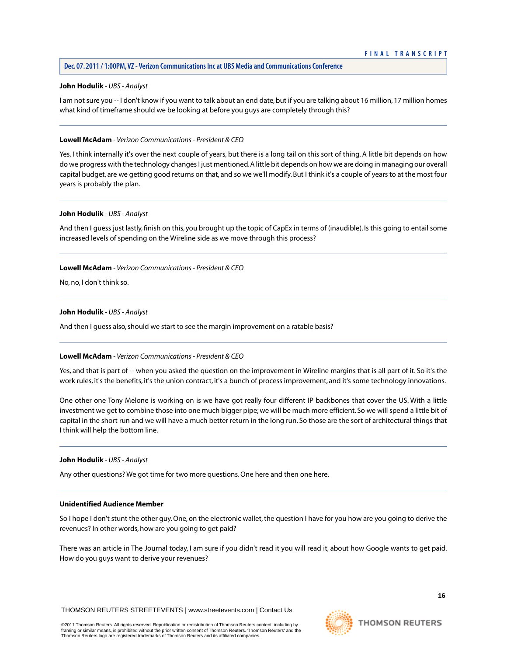#### **John Hodulik** *- UBS - Analyst*

I am not sure you -- I don't know if you want to talk about an end date, but if you are talking about 16 million, 17 million homes what kind of timeframe should we be looking at before you guys are completely through this?

#### **Lowell McAdam** *- Verizon Communications - President & CEO*

Yes, I think internally it's over the next couple of years, but there is a long tail on this sort of thing. A little bit depends on how do we progress with the technology changes I just mentioned. A little bit depends on how we are doing in managing our overall capital budget, are we getting good returns on that, and so we we'll modify. But I think it's a couple of years to at the most four years is probably the plan.

#### **John Hodulik** *- UBS - Analyst*

And then I guess just lastly, finish on this, you brought up the topic of CapEx in terms of (inaudible). Is this going to entail some increased levels of spending on the Wireline side as we move through this process?

#### **Lowell McAdam** *- Verizon Communications - President & CEO*

No, no, I don't think so.

#### **John Hodulik** *- UBS - Analyst*

And then I guess also, should we start to see the margin improvement on a ratable basis?

#### **Lowell McAdam** *- Verizon Communications - President & CEO*

Yes, and that is part of -- when you asked the question on the improvement in Wireline margins that is all part of it. So it's the work rules, it's the benefits, it's the union contract, it's a bunch of process improvement, and it's some technology innovations.

One other one Tony Melone is working on is we have got really four different IP backbones that cover the US. With a little investment we get to combine those into one much bigger pipe; we will be much more efficient. So we will spend a little bit of capital in the short run and we will have a much better return in the long run. So those are the sort of architectural things that I think will help the bottom line.

#### **John Hodulik** *- UBS - Analyst*

Any other questions? We got time for two more questions. One here and then one here.

#### **Unidentified Audience Member**

So I hope I don't stunt the other guy. One, on the electronic wallet, the question I have for you how are you going to derive the revenues? In other words, how are you going to get paid?

There was an article in The Journal today, I am sure if you didn't read it you will read it, about how Google wants to get paid. How do you guys want to derive your revenues?

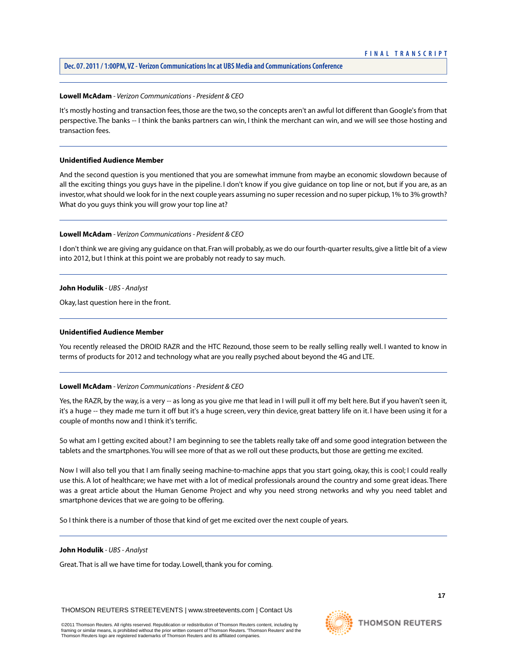#### **Lowell McAdam** *- Verizon Communications - President & CEO*

It's mostly hosting and transaction fees, those are the two, so the concepts aren't an awful lot different than Google's from that perspective. The banks -- I think the banks partners can win, I think the merchant can win, and we will see those hosting and transaction fees.

#### **Unidentified Audience Member**

And the second question is you mentioned that you are somewhat immune from maybe an economic slowdown because of all the exciting things you guys have in the pipeline. I don't know if you give guidance on top line or not, but if you are, as an investor, what should we look for in the next couple years assuming no super recession and no super pickup, 1% to 3% growth? What do you guys think you will grow your top line at?

# **Lowell McAdam** *- Verizon Communications - President & CEO*

I don't think we are giving any guidance on that. Fran will probably, as we do our fourth-quarter results, give a little bit of a view into 2012, but I think at this point we are probably not ready to say much.

# **John Hodulik** *- UBS - Analyst*

Okay, last question here in the front.

# **Unidentified Audience Member**

You recently released the DROID RAZR and the HTC Rezound, those seem to be really selling really well. I wanted to know in terms of products for 2012 and technology what are you really psyched about beyond the 4G and LTE.

# **Lowell McAdam** *- Verizon Communications - President & CEO*

Yes, the RAZR, by the way, is a very -- as long as you give me that lead in I will pull it off my belt here. But if you haven't seen it, it's a huge -- they made me turn it off but it's a huge screen, very thin device, great battery life on it. I have been using it for a couple of months now and I think it's terrific.

So what am I getting excited about? I am beginning to see the tablets really take off and some good integration between the tablets and the smartphones.You will see more of that as we roll out these products, but those are getting me excited.

Now I will also tell you that I am finally seeing machine-to-machine apps that you start going, okay, this is cool; I could really use this. A lot of healthcare; we have met with a lot of medical professionals around the country and some great ideas. There was a great article about the Human Genome Project and why you need strong networks and why you need tablet and smartphone devices that we are going to be offering.

So I think there is a number of those that kind of get me excited over the next couple of years.

#### **John Hodulik** *- UBS - Analyst*

Great.That is all we have time for today. Lowell, thank you for coming.